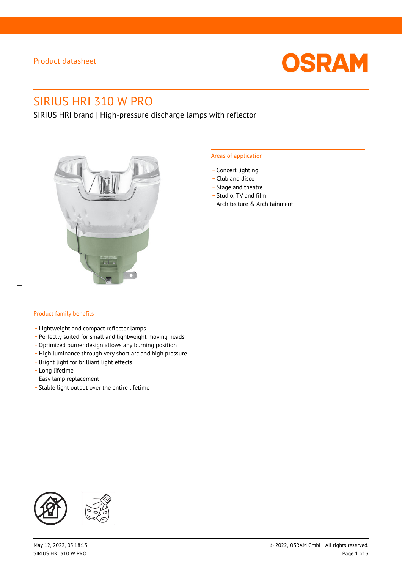## Product datasheet



# SIRIUS HRI 310 W PRO

SIRIUS HRI brand | High-pressure discharge lamps with reflector



#### Areas of application

- Concert lighting
- \_ Club and disco
- Stage and theatre
- \_ Studio, TV and film
- \_ Architecture & Architainment

## Product family benefits

 $\overline{a}$ 

- \_ Lightweight and compact reflector lamps
- \_ Perfectly suited for small and lightweight moving heads
- Optimized burner design allows any burning position
- High luminance through very short arc and high pressure
- \_ Bright light for brilliant light effects
- \_ Long lifetime
- \_ Easy lamp replacement
- \_ Stable light output over the entire lifetime

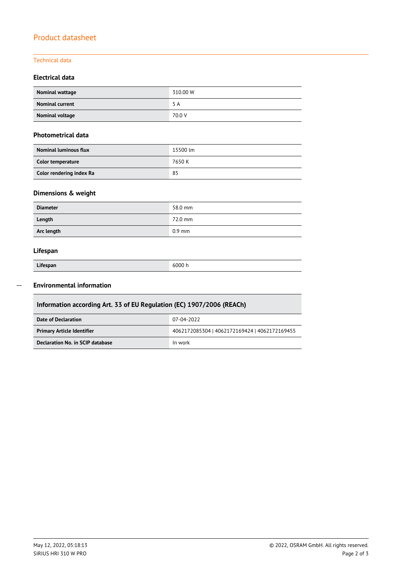## Product datasheet

## Technical data

## **Electrical data**

| Nominal wattage        | 310.00 W |
|------------------------|----------|
| <b>Nominal current</b> | 5 A      |
| Nominal voltage        | 70.0 V   |

### **Photometrical data**

| <b>Nominal luminous flux</b> | 15500 lm |  |  |
|------------------------------|----------|--|--|
| Color temperature            | 7650 K   |  |  |
| Color rendering index Ra     | 85       |  |  |

## **Dimensions & weight**

| <b>Diameter</b> | 58.0 mm  |
|-----------------|----------|
| Length          | 72.0 mm  |
| Arc length      | $0.9$ mm |

## **Lifespan**

| Lifespan |  |
|----------|--|

Г

**Lifespan** 6000 h

#### **Environmental information**  $\overline{\phantom{a}}$

| Information according Art. 33 of EU Regulation (EC) 1907/2006 (REACh) |                                               |  |  |  |
|-----------------------------------------------------------------------|-----------------------------------------------|--|--|--|
| Date of Declaration                                                   | 07-04-2022                                    |  |  |  |
| <b>Primary Article Identifier</b>                                     | 4062172085304   4062172169424   4062172169455 |  |  |  |
| Declaration No. in SCIP database                                      | In work                                       |  |  |  |